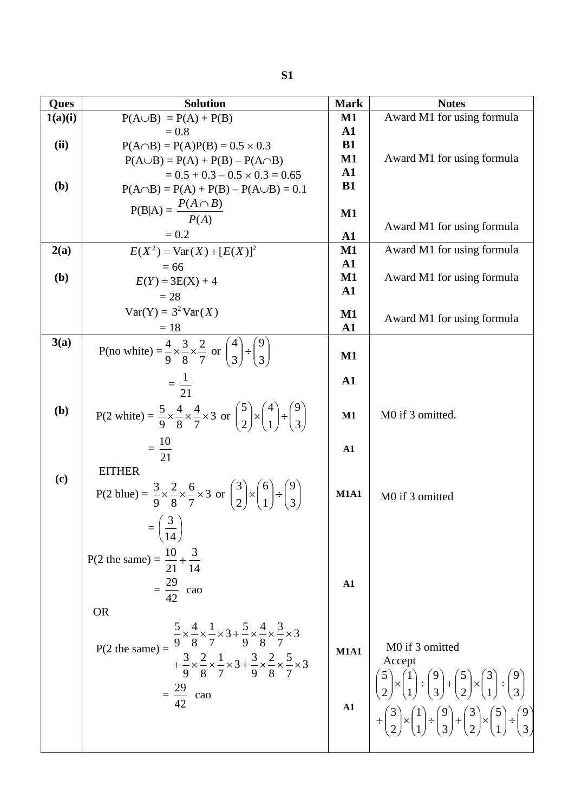| <b>Ques</b>  | <b>Solution</b>                                                                                                                   | <b>Mark</b>                    | <b>Notes</b>                                                                                               |
|--------------|-----------------------------------------------------------------------------------------------------------------------------------|--------------------------------|------------------------------------------------------------------------------------------------------------|
| 1(a)(i)      | $P(A \cup B) = P(A) + P(B)$                                                                                                       | $\mathbf{M1}$                  | Award M1 for using formula                                                                                 |
|              | $= 0.8$                                                                                                                           | $\mathbf{A1}$                  |                                                                                                            |
| (ii)         | $P(A \cap B) = P(A)P(B) = 0.5 \times 0.3$                                                                                         | <b>B1</b>                      |                                                                                                            |
|              | $P(A \cup B) = P(A) + P(B) - P(A \cap B)$                                                                                         | $\mathbf{M1}$                  | Award M1 for using formula                                                                                 |
|              | $= 0.5 + 0.3 - 0.5 \times 0.3 = 0.65$                                                                                             | $\mathbf{A1}$                  |                                                                                                            |
| ( <b>b</b> ) | $P(A \cap B) = P(A) + P(B) - P(A \cup B) = 0.1$                                                                                   | <b>B1</b>                      |                                                                                                            |
|              | $P(B A) = \frac{P(A \cap B)}{P(A)}$                                                                                               |                                |                                                                                                            |
|              |                                                                                                                                   | $\mathbf{M1}$                  |                                                                                                            |
|              | $= 0.2$                                                                                                                           | ${\bf A1}$                     | Award M1 for using formula                                                                                 |
| 2(a)         | $E(X^2) = \text{Var}(X) + [E(X)]^2$                                                                                               | $\mathbf{M1}$                  | Award M1 for using formula                                                                                 |
|              | $= 66$                                                                                                                            | ${\bf A1}$                     |                                                                                                            |
| (b)          | $E(Y) = 3E(X) + 4$                                                                                                                | $\mathbf{M1}$                  | Award M1 for using formula                                                                                 |
|              | $= 28$                                                                                                                            | $\mathbf{A1}$                  |                                                                                                            |
|              | $Var(Y) = 3^2 Var(X)$                                                                                                             |                                |                                                                                                            |
|              |                                                                                                                                   | $\mathbf{M1}$<br>$\mathbf{A1}$ | Award M1 for using formula                                                                                 |
| 3(a)         | $=18$                                                                                                                             |                                |                                                                                                            |
|              | P(no white) = $\frac{4}{9} \times \frac{3}{8} \times \frac{2}{7}$ or $\binom{4}{3} \div \binom{9}{3}$                             | $\mathbf{M1}$                  |                                                                                                            |
|              |                                                                                                                                   |                                |                                                                                                            |
|              | $=\frac{1}{21}$                                                                                                                   | $\mathbf{A1}$                  |                                                                                                            |
|              |                                                                                                                                   |                                |                                                                                                            |
| (b)          | P(2 white) = $\frac{5}{9} \times \frac{4}{8} \times \frac{4}{7} \times 3$ or $\binom{5}{2} \times \binom{4}{1} \div \binom{9}{3}$ | M1                             | M0 if 3 omitted.                                                                                           |
|              |                                                                                                                                   |                                |                                                                                                            |
|              |                                                                                                                                   |                                |                                                                                                            |
|              | $=\frac{10}{21}$                                                                                                                  | ${\bf A1}$                     |                                                                                                            |
|              | <b>EITHER</b>                                                                                                                     |                                |                                                                                                            |
| (c)          |                                                                                                                                   |                                |                                                                                                            |
|              | P(2 blue) = $\frac{3}{9} \times \frac{2}{8} \times \frac{6}{7} \times 3$ or $\binom{3}{2} \times \binom{6}{1} \div \binom{9}{3}$  | <b>M1A1</b>                    | M0 if 3 omitted                                                                                            |
|              |                                                                                                                                   |                                |                                                                                                            |
|              | (3)                                                                                                                               |                                |                                                                                                            |
|              |                                                                                                                                   |                                |                                                                                                            |
|              | P(2 the same) = $\frac{10}{21} + \frac{3}{14}$                                                                                    |                                |                                                                                                            |
|              |                                                                                                                                   |                                |                                                                                                            |
|              | $=\frac{29}{42}$ cao                                                                                                              | ${\bf A1}$                     |                                                                                                            |
|              |                                                                                                                                   |                                |                                                                                                            |
|              | <b>OR</b>                                                                                                                         |                                |                                                                                                            |
|              | $\frac{5}{9} \times \frac{4}{8} \times \frac{1}{7} \times 3 + \frac{5}{9} \times \frac{4}{8} \times \frac{3}{7} \times 3$         |                                |                                                                                                            |
|              | $P(2 \text{ the same}) =$                                                                                                         | <b>M1A1</b>                    | M0 if 3 omitted                                                                                            |
|              | $+\frac{3}{9}\times\frac{2}{8}\times\frac{1}{7}\times3+\frac{3}{9}\times\frac{2}{8}\times\frac{5}{7}\times3$                      |                                | Accept                                                                                                     |
|              |                                                                                                                                   |                                |                                                                                                            |
|              | $=\frac{29}{42}$ cao                                                                                                              |                                | $\binom{5}{2} \times \binom{1}{1} \div \binom{9}{3} + \binom{5}{2} \times \binom{3}{1} \div \binom{9}{3}$  |
|              |                                                                                                                                   | ${\bf A1}$                     |                                                                                                            |
|              |                                                                                                                                   |                                | $+\binom{3}{2} \times \binom{1}{1} \div \binom{9}{3} + \binom{3}{2} \times \binom{5}{1} \div \binom{9}{3}$ |
|              |                                                                                                                                   |                                |                                                                                                            |
|              |                                                                                                                                   |                                |                                                                                                            |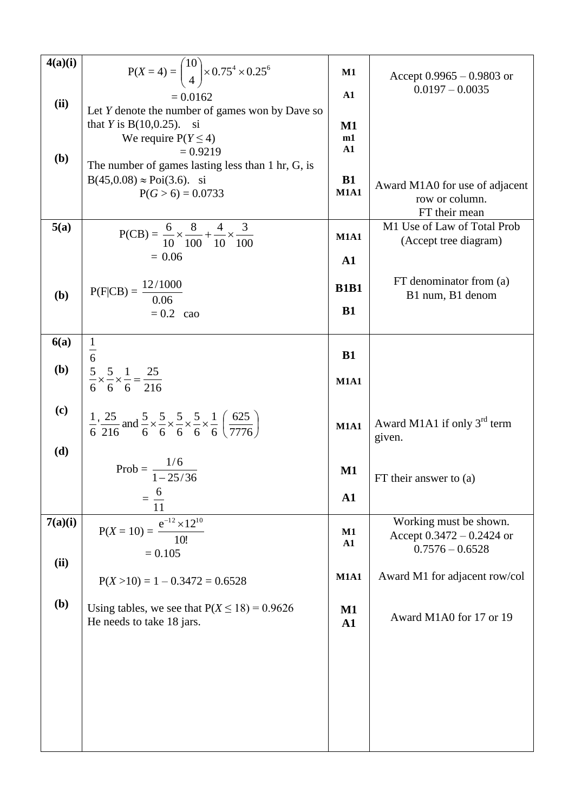| 4(a)(i) | $P(X = 4) = {10 \choose 4} \times 0.75^4 \times 0.25^6$                                                                                                        | $\mathbf{M1}$                  | Accept $0.9965 - 0.9803$ or<br>$0.0197 - 0.0035$                  |
|---------|----------------------------------------------------------------------------------------------------------------------------------------------------------------|--------------------------------|-------------------------------------------------------------------|
| (ii)    | $= 0.0162$                                                                                                                                                     | ${\bf A1}$                     |                                                                   |
|         | Let $Y$ denote the number of games won by Dave so                                                                                                              |                                |                                                                   |
|         | that <i>Y</i> is $B(10,0.25)$ . si<br>We require $P(Y \le 4)$                                                                                                  | $\mathbf{M1}$<br>m1            |                                                                   |
|         | $= 0.9219$                                                                                                                                                     | ${\bf A1}$                     |                                                                   |
| (b)     | The number of games lasting less than 1 hr, G, is                                                                                                              |                                |                                                                   |
|         | $B(45,0.08) \approx Poi(3.6)$ . si<br>$P(G > 6) = 0.0733$                                                                                                      | <b>B1</b><br><b>M1A1</b>       | Award M1A0 for use of adjacent<br>row or column.<br>FT their mean |
| 5(a)    |                                                                                                                                                                |                                | M1 Use of Law of Total Prob                                       |
|         | $P(CB) = \frac{6}{10} \times \frac{8}{100} + \frac{4}{10} \times \frac{3}{100}$                                                                                | <b>M1A1</b>                    | (Accept tree diagram)                                             |
|         | $= 0.06$                                                                                                                                                       | ${\bf A1}$                     |                                                                   |
| (b)     | $P(F CB) = \frac{12/1000}{0.06}$                                                                                                                               | <b>B1B1</b>                    | FT denominator from (a)<br>B1 num, B1 denom                       |
|         | $= 0.2$ cao                                                                                                                                                    | <b>B1</b>                      |                                                                   |
| 6(a)    |                                                                                                                                                                |                                |                                                                   |
|         |                                                                                                                                                                | <b>B1</b>                      |                                                                   |
| (b)     | $\frac{5}{6} \times \frac{5}{6} \times \frac{1}{6} = \frac{25}{216}$                                                                                           |                                |                                                                   |
|         |                                                                                                                                                                | <b>M1A1</b>                    |                                                                   |
| (c)     | $\frac{1}{6}$ , $\frac{25}{216}$ and $\frac{5}{6} \times \frac{5}{6} \times \frac{5}{6} \times \frac{5}{6} \times \frac{1}{6}$ $\left(\frac{625}{7776}\right)$ | <b>M1A1</b>                    | Award M1A1 if only $3rd$ term<br>given.                           |
| (d)     |                                                                                                                                                                |                                |                                                                   |
|         | Prob = $\frac{1/6}{1-25/36}$                                                                                                                                   | $\mathbf{M1}$                  | FT their answer to $(a)$                                          |
|         |                                                                                                                                                                |                                |                                                                   |
|         | $\sigma$<br>$=$ $-$<br>11                                                                                                                                      | ${\bf A1}$                     |                                                                   |
| 7(a)(i) | $e^{-12} \times 12^{10}$                                                                                                                                       |                                | Working must be shown.                                            |
|         | $P(X = 10) =$<br>10!                                                                                                                                           | M1                             | Accept $0.3472 - 0.2424$ or                                       |
|         | $= 0.105$                                                                                                                                                      | ${\bf A1}$                     | $0.7576 - 0.6528$                                                 |
| (ii)    |                                                                                                                                                                |                                |                                                                   |
|         | $P(X > 10) = 1 - 0.3472 = 0.6528$                                                                                                                              | <b>M1A1</b>                    | Award M1 for adjacent row/col                                     |
| (b)     | Using tables, we see that $P(X \le 18) = 0.9626$<br>He needs to take 18 jars.                                                                                  | $\mathbf{M1}$<br>$\mathbf{A1}$ | Award M1A0 for 17 or 19                                           |
|         |                                                                                                                                                                |                                |                                                                   |
|         |                                                                                                                                                                |                                |                                                                   |
|         |                                                                                                                                                                |                                |                                                                   |
|         |                                                                                                                                                                |                                |                                                                   |
|         |                                                                                                                                                                |                                |                                                                   |
|         |                                                                                                                                                                |                                |                                                                   |